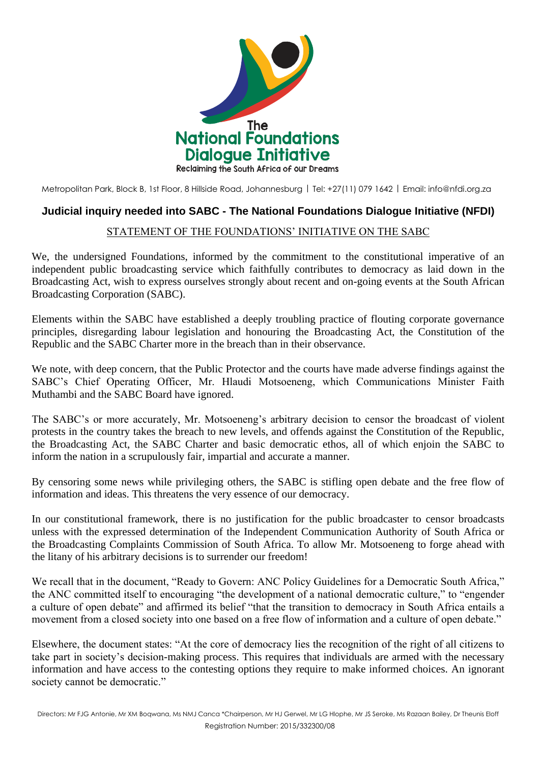

Metropolitan Park, Block B, 1st Floor, 8 Hillside Road, Johannesburg | Tel: +27(11) 079 1642 | Email: [info@nfdi.org.za](mailto:info@nfdi.org.za)

## **Judicial inquiry needed into SABC - The National Foundations Dialogue Initiative (NFDI)**

## STATEMENT OF THE FOUNDATIONS' INITIATIVE ON THE SABC

We, the undersigned Foundations, informed by the commitment to the constitutional imperative of an independent public broadcasting service which faithfully contributes to democracy as laid down in the Broadcasting Act, wish to express ourselves strongly about recent and on-going events at the South African Broadcasting Corporation (SABC).

Elements within the SABC have established a deeply troubling practice of flouting corporate governance principles, disregarding labour legislation and honouring the Broadcasting Act, the Constitution of the Republic and the SABC Charter more in the breach than in their observance.

We note, with deep concern, that the Public Protector and the courts have made adverse findings against the SABC's Chief Operating Officer, Mr. Hlaudi Motsoeneng, which Communications Minister Faith Muthambi and the SABC Board have ignored.

The SABC's or more accurately, Mr. Motsoeneng's arbitrary decision to censor the broadcast of violent protests in the country takes the breach to new levels, and offends against the Constitution of the Republic, the Broadcasting Act, the SABC Charter and basic democratic ethos, all of which enjoin the SABC to inform the nation in a scrupulously fair, impartial and accurate a manner.

By censoring some news while privileging others, the SABC is stifling open debate and the free flow of information and ideas. This threatens the very essence of our democracy.

In our constitutional framework, there is no justification for the public broadcaster to censor broadcasts unless with the expressed determination of the Independent Communication Authority of South Africa or the Broadcasting Complaints Commission of South Africa. To allow Mr. Motsoeneng to forge ahead with the litany of his arbitrary decisions is to surrender our freedom!

We recall that in the document, "Ready to Govern: ANC Policy Guidelines for a Democratic South Africa," the ANC committed itself to encouraging "the development of a national democratic culture," to "engender a culture of open debate" and affirmed its belief "that the transition to democracy in South Africa entails a movement from a closed society into one based on a free flow of information and a culture of open debate."

Elsewhere, the document states: "At the core of democracy lies the recognition of the right of all citizens to take part in society's decision-making process. This requires that individuals are armed with the necessary information and have access to the contesting options they require to make informed choices. An ignorant society cannot be democratic."